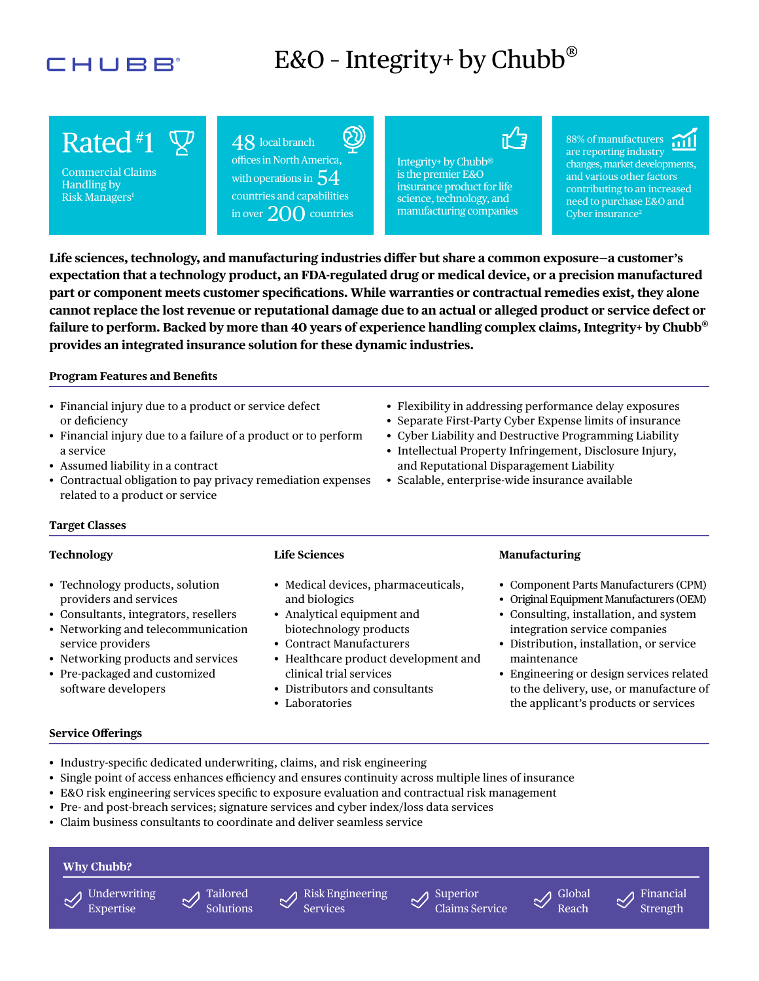## CHUBB

# E&O - Integrity+ by Chubb<sup>®</sup>

Commercial Claims Handling by Risk Managers1

 $\text{Raded}^{\#1} \cong \text{ 48 local branch}$ <br>
Commercial Claims<br>
Handling by<br>
Risk Managers<sup>1</sup> countries and canal offices in North America, countries and capabilities with operations in  $\,54$ in over  $200$  countries

science, technology, and is the premier E&O Integrity+ by Chubb® insurance product for life manufacturing companies

ਜੂ⁄ਮੂ

88% of manufacturers are reporting industry changes, market developments, and various other factors contributing to an increased need to purchase E&O and Cyber insurance<sup>2</sup>

**Life sciences, technology, and manufacturing industries difer but share a common exposure—a customer's expectation that a technology product, an FDA-regulated drug or medical device, or a precision manufactured part or component meets customer specifcations. While warranties or contractual remedies exist, they alone cannot replace the lost revenue or reputational damage due to an actual or alleged product or service defect or failure to perform. Backed by more than 40 years of experience handling complex claims, Integrity+ by Chubb**®  **provides an integrated insurance solution for these dynamic industries.** 

### **Program Features and Benefts**

- Financial injury due to a product or service defect or deficiency
- Financial injury due to a failure of a product or to perform a service
- Assumed liability in a contract
- Contractual obligation to pay privacy remediation expenses related to a product or service
- Flexibility in addressing performance delay exposures
- Separate First-Party Cyber Expense limits of insurance
- Cyber Liability and Destructive Programming Liability
- Intellectual Property Infringement, Disclosure Injury, and Reputational Disparagement Liability
- Scalable, enterprise-wide insurance available

#### **Target Classes**

#### **Technology**

- Technology products, solution providers and services
- Consultants, integrators, resellers
- Networking and telecommunication service providers
- Networking products and services
- Pre-packaged and customized software developers

#### **Life Sciences**

- Medical devices, pharmaceuticals, and biologics
- Analytical equipment and biotechnology products
- Contract Manufacturers
- Healthcare product development and clinical trial services
- Distributors and consultants
- Laboratories

#### **Manufacturing**

- Component Parts Manufacturers (CPM)
- Original Equipment Manufacturers (OEM)
- Consulting, installation, and system integration service companies
- Distribution, installation, or service maintenance
- Engineering or design services related to the delivery, use, or manufacture of the applicant's products or services

#### **Service Oferings**

- Industry-specifc dedicated underwriting, claims, and risk engineering
- Single point of access enhances efficiency and ensures continuity across multiple lines of insurance
- E&O risk engineering services specifc to exposure evaluation and contractual risk management
- Pre- and post-breach services; signature services and cyber index/loss data services
- Claim business consultants to coordinate and deliver seamless service